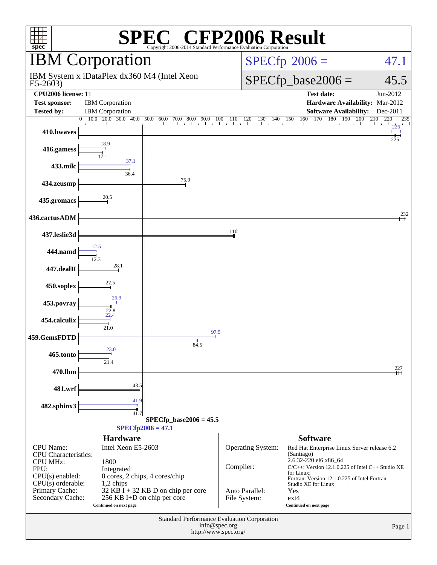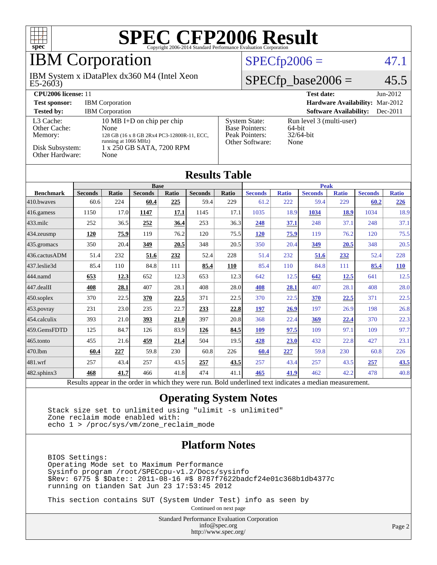

### IBM Corporation

 $E5-2603$ IBM System x iDataPlex dx360 M4 (Intel Xeon

### $SPECfp2006 = 47.1$  $SPECfp2006 = 47.1$

### $SPECfp\_base2006 = 45.5$

| <b>CPU2006 license: 11</b>                                                 |                                                                                                                                               |                                                                                    | <b>Test date:</b><br>$Jun-2012$                               |
|----------------------------------------------------------------------------|-----------------------------------------------------------------------------------------------------------------------------------------------|------------------------------------------------------------------------------------|---------------------------------------------------------------|
| <b>Test sponsor:</b>                                                       | <b>IBM</b> Corporation                                                                                                                        |                                                                                    | Hardware Availability: Mar-2012                               |
| <b>Tested by:</b>                                                          | <b>IBM</b> Corporation                                                                                                                        |                                                                                    | <b>Software Availability:</b><br>$Dec-2011$                   |
| L3 Cache:<br>Other Cache:<br>Memory:<br>Disk Subsystem:<br>Other Hardware: | 10 MB I+D on chip per chip<br>None<br>128 GB (16 x 8 GB 2Rx4 PC3-12800R-11, ECC,<br>running at 1066 MHz)<br>1 x 250 GB SATA, 7200 RPM<br>None | <b>System State:</b><br><b>Base Pointers:</b><br>Peak Pointers:<br>Other Software: | Run level 3 (multi-user)<br>$64$ -bit<br>$32/64$ -bit<br>None |

| <b>Results Table</b> |                |              |                |       |                |              |                |              |                |              |                |              |
|----------------------|----------------|--------------|----------------|-------|----------------|--------------|----------------|--------------|----------------|--------------|----------------|--------------|
|                      | <b>Base</b>    |              |                |       |                |              | <b>Peak</b>    |              |                |              |                |              |
| <b>Benchmark</b>     | <b>Seconds</b> | <b>Ratio</b> | <b>Seconds</b> | Ratio | <b>Seconds</b> | <b>Ratio</b> | <b>Seconds</b> | <b>Ratio</b> | <b>Seconds</b> | <b>Ratio</b> | <b>Seconds</b> | <b>Ratio</b> |
| 410.bwaves           | 60.6           | 224          | 60.4           | 225   | 59.4           | 229          | 61.2           | 222          | 59.4           | 229          | 60.2           | 226          |
| 416.gamess           | 1150           | 17.0         | 1147           | 17.1  | 1145           | 17.1         | 1035           | 18.9         | 1034           | 18.9         | 1034           | 18.9         |
| 433.milc             | 252            | 36.5         | 252            | 36.4  | 253            | 36.3         | 248            | 37.1         | 248            | 37.1         | 248            | 37.1         |
| $434$ . zeusmp       | 120            | 75.9         | 119            | 76.2  | 120            | 75.5         | <u>120</u>     | 75.9         | 119            | 76.2         | 120            | 75.5         |
| 435.gromacs          | 350            | 20.4         | 349            | 20.5  | 348            | 20.5         | 350            | 20.4         | 349            | 20.5         | 348            | 20.5         |
| 436.cactusADM        | 51.4           | 232          | 51.6           | 232   | 52.4           | 228          | 51.4           | 232          | 51.6           | 232          | 52.4           | 228          |
| 437.leslie3d         | 85.4           | 110          | 84.8           | 111   | 85.4           | 110          | 85.4           | 110          | 84.8           | 111          | 85.4           | <b>110</b>   |
| 444.namd             | 653            | 12.3         | 652            | 12.3  | 653            | 12.3         | 642            | 12.5         | 642            | 12.5         | 641            | 12.5         |
| $447$ .dealII        | 408            | 28.1         | 407            | 28.1  | 408            | 28.0         | 408            | 28.1         | 407            | 28.1         | 408            | 28.0         |
| $450$ .soplex        | 370            | 22.5         | 370            | 22.5  | 371            | 22.5         | 370            | 22.5         | 370            | 22.5         | 371            | 22.5         |
| 453.povray           | 231            | 23.0         | 235            | 22.7  | 233            | 22.8         | 197            | 26.9         | 197            | 26.9         | 198            | 26.8         |
| 454.calculix         | 393            | 21.0         | 393            | 21.0  | 397            | 20.8         | 368            | 22.4         | 369            | 22.4         | 370            | 22.3         |
| 459.GemsFDTD         | 125            | 84.7         | 126            | 83.9  | 126            | 84.5         | 109            | 97.5         | 109            | 97.1         | 109            | 97.7         |
| $465$ .tonto         | 455            | 21.6         | 459            | 21.4  | 504            | 19.5         | 428            | 23.0         | 432            | 22.8         | 427            | 23.1         |
| 470.1bm              | 60.4           | 227          | 59.8           | 230   | 60.8           | 226          | 60.4           | 227          | 59.8           | 230          | 60.8           | 226          |
| 481.wrf              | 257            | 43.4         | 257            | 43.5  | 257            | 43.5         | 257            | 43.4         | 257            | 43.5         | 257            | 43.5         |
| $482$ .sphinx $3$    | 468            | 41.7         | 466            | 41.8  | 474            | 41.1         | 465            | 41.9         | 462            | 42.2         | 478            | 40.8         |

Results appear in the [order in which they were run.](http://www.spec.org/auto/cpu2006/Docs/result-fields.html#RunOrder) Bold underlined text [indicates a median measurement.](http://www.spec.org/auto/cpu2006/Docs/result-fields.html#Median)

#### **[Operating System Notes](http://www.spec.org/auto/cpu2006/Docs/result-fields.html#OperatingSystemNotes)**

 Stack size set to unlimited using "ulimit -s unlimited" Zone reclaim mode enabled with: echo 1 > /proc/sys/vm/zone\_reclaim\_mode

#### **[Platform Notes](http://www.spec.org/auto/cpu2006/Docs/result-fields.html#PlatformNotes)**

 BIOS Settings: Operating Mode set to Maximum Performance Sysinfo program /root/SPECcpu-v1.2/Docs/sysinfo \$Rev: 6775 \$ \$Date:: 2011-08-16 #\$ 8787f7622badcf24e01c368b1db4377c running on tianden Sat Jun 23 17:53:45 2012

This section contains SUT (System Under Test) info as seen by

Continued on next page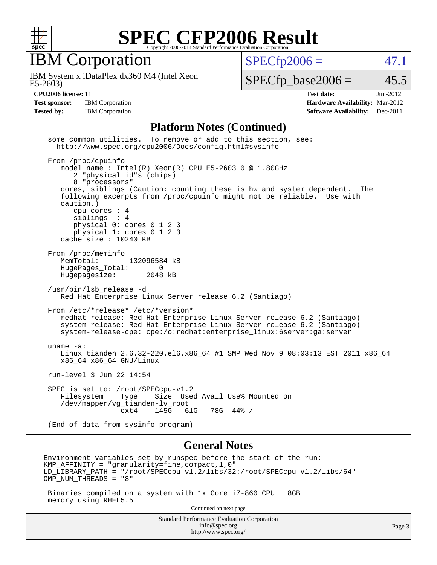

IBM Corporation

 $SPECTp2006 = 47.1$ 

 $E5-2603$ IBM System x iDataPlex dx360 M4 (Intel Xeon

 $SPECTp\_base2006 = 45.5$ 

**[Test sponsor:](http://www.spec.org/auto/cpu2006/Docs/result-fields.html#Testsponsor)** IBM Corporation **[Hardware Availability:](http://www.spec.org/auto/cpu2006/Docs/result-fields.html#HardwareAvailability)** Mar-2012

**[CPU2006 license:](http://www.spec.org/auto/cpu2006/Docs/result-fields.html#CPU2006license)** 11 **[Test date:](http://www.spec.org/auto/cpu2006/Docs/result-fields.html#Testdate)** Jun-2012 **[Tested by:](http://www.spec.org/auto/cpu2006/Docs/result-fields.html#Testedby)** IBM Corporation **[Software Availability:](http://www.spec.org/auto/cpu2006/Docs/result-fields.html#SoftwareAvailability)** Dec-2011

#### **[Platform Notes \(Continued\)](http://www.spec.org/auto/cpu2006/Docs/result-fields.html#PlatformNotes)**

 some common utilities. To remove or add to this section, see: <http://www.spec.org/cpu2006/Docs/config.html#sysinfo> From /proc/cpuinfo model name : Intel(R) Xeon(R) CPU E5-2603 0 @ 1.80GHz 2 "physical id"s (chips) 8 "processors" cores, siblings (Caution: counting these is hw and system dependent. The following excerpts from /proc/cpuinfo might not be reliable. Use with caution.) cpu cores : 4 siblings : 4 physical 0: cores 0 1 2 3 physical 1: cores 0 1 2 3 cache size : 10240 KB From /proc/meminfo MemTotal: 132096584 kB HugePages\_Total: 0<br>Hugepagesize: 2048 kB Hugepagesize: /usr/bin/lsb\_release -d Red Hat Enterprise Linux Server release 6.2 (Santiago) From /etc/\*release\* /etc/\*version\* redhat-release: Red Hat Enterprise Linux Server release 6.2 (Santiago) system-release: Red Hat Enterprise Linux Server release 6.2 (Santiago) system-release-cpe: cpe:/o:redhat:enterprise\_linux:6server:ga:server uname -a: Linux tianden 2.6.32-220.el6.x86\_64 #1 SMP Wed Nov 9 08:03:13 EST 2011 x86\_64 x86\_64 x86\_64 GNU/Linux run-level 3 Jun 22 14:54 SPEC is set to: /root/SPECcpu-v1.2 Filesystem Type Size Used Avail Use% Mounted on /dev/mapper/vg\_tianden-lv\_root 61G 78G 44% / (End of data from sysinfo program) **[General Notes](http://www.spec.org/auto/cpu2006/Docs/result-fields.html#GeneralNotes)** Environment variables set by runspec before the start of the run: KMP AFFINITY = "granularity=fine, compact,  $1,0$ " LD\_LIBRARY\_PATH = "/root/SPECcpu-v1.2/libs/32:/root/SPECcpu-v1.2/libs/64" OMP\_NUM\_THREADS = "8" Binaries compiled on a system with 1x Core i7-860 CPU + 8GB memory using RHEL5.5

Continued on next page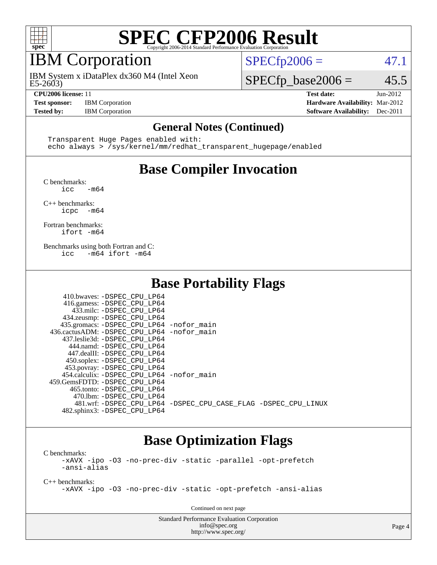

### IBM Corporation

 $E5-2603$ IBM System x iDataPlex dx360 M4 (Intel Xeon

 $SPECTp2006 = 47.1$ 

### $SPECTp\_base2006 = 45.5$

**[CPU2006 license:](http://www.spec.org/auto/cpu2006/Docs/result-fields.html#CPU2006license)** 11 **[Test date:](http://www.spec.org/auto/cpu2006/Docs/result-fields.html#Testdate)** Jun-2012 **[Test sponsor:](http://www.spec.org/auto/cpu2006/Docs/result-fields.html#Testsponsor)** IBM Corporation **[Hardware Availability:](http://www.spec.org/auto/cpu2006/Docs/result-fields.html#HardwareAvailability)** Mar-2012 **[Tested by:](http://www.spec.org/auto/cpu2006/Docs/result-fields.html#Testedby)** IBM Corporation **[Software Availability:](http://www.spec.org/auto/cpu2006/Docs/result-fields.html#SoftwareAvailability)** Dec-2011

#### **[General Notes \(Continued\)](http://www.spec.org/auto/cpu2006/Docs/result-fields.html#GeneralNotes)**

 Transparent Huge Pages enabled with: echo always > /sys/kernel/mm/redhat\_transparent\_hugepage/enabled

### **[Base Compiler Invocation](http://www.spec.org/auto/cpu2006/Docs/result-fields.html#BaseCompilerInvocation)**

[C benchmarks](http://www.spec.org/auto/cpu2006/Docs/result-fields.html#Cbenchmarks):

 $\frac{1}{2}$ cc  $-\text{m64}$ 

[C++ benchmarks:](http://www.spec.org/auto/cpu2006/Docs/result-fields.html#CXXbenchmarks) [icpc -m64](http://www.spec.org/cpu2006/results/res2012q3/cpu2006-20120628-23197.flags.html#user_CXXbase_intel_icpc_64bit_bedb90c1146cab66620883ef4f41a67e)

[Fortran benchmarks](http://www.spec.org/auto/cpu2006/Docs/result-fields.html#Fortranbenchmarks): [ifort -m64](http://www.spec.org/cpu2006/results/res2012q3/cpu2006-20120628-23197.flags.html#user_FCbase_intel_ifort_64bit_ee9d0fb25645d0210d97eb0527dcc06e)

[Benchmarks using both Fortran and C](http://www.spec.org/auto/cpu2006/Docs/result-fields.html#BenchmarksusingbothFortranandC): [icc -m64](http://www.spec.org/cpu2006/results/res2012q3/cpu2006-20120628-23197.flags.html#user_CC_FCbase_intel_icc_64bit_0b7121f5ab7cfabee23d88897260401c) [ifort -m64](http://www.spec.org/cpu2006/results/res2012q3/cpu2006-20120628-23197.flags.html#user_CC_FCbase_intel_ifort_64bit_ee9d0fb25645d0210d97eb0527dcc06e)

### **[Base Portability Flags](http://www.spec.org/auto/cpu2006/Docs/result-fields.html#BasePortabilityFlags)**

| 410.bwaves: -DSPEC CPU LP64                 |                                                                |
|---------------------------------------------|----------------------------------------------------------------|
| 416.gamess: -DSPEC_CPU_LP64                 |                                                                |
| 433.milc: -DSPEC CPU LP64                   |                                                                |
| 434.zeusmp: -DSPEC_CPU_LP64                 |                                                                |
| 435.gromacs: -DSPEC_CPU_LP64 -nofor_main    |                                                                |
| 436.cactusADM: -DSPEC_CPU_LP64 -nofor main  |                                                                |
| 437.leslie3d: -DSPEC CPU LP64               |                                                                |
| 444.namd: -DSPEC CPU LP64                   |                                                                |
| 447.dealII: -DSPEC_CPU LP64                 |                                                                |
| 450.soplex: -DSPEC_CPU_LP64                 |                                                                |
| 453.povray: -DSPEC_CPU_LP64                 |                                                                |
| 454.calculix: - DSPEC CPU LP64 - nofor main |                                                                |
| 459. GemsFDTD: - DSPEC CPU LP64             |                                                                |
| 465.tonto: - DSPEC CPU LP64                 |                                                                |
| 470.1bm: - DSPEC CPU LP64                   |                                                                |
|                                             | 481.wrf: -DSPEC CPU_LP64 -DSPEC_CPU_CASE_FLAG -DSPEC_CPU_LINUX |
| 482.sphinx3: -DSPEC_CPU_LP64                |                                                                |

### **[Base Optimization Flags](http://www.spec.org/auto/cpu2006/Docs/result-fields.html#BaseOptimizationFlags)**

[C benchmarks](http://www.spec.org/auto/cpu2006/Docs/result-fields.html#Cbenchmarks): [-xAVX](http://www.spec.org/cpu2006/results/res2012q3/cpu2006-20120628-23197.flags.html#user_CCbase_f-xAVX) [-ipo](http://www.spec.org/cpu2006/results/res2012q3/cpu2006-20120628-23197.flags.html#user_CCbase_f-ipo) [-O3](http://www.spec.org/cpu2006/results/res2012q3/cpu2006-20120628-23197.flags.html#user_CCbase_f-O3) [-no-prec-div](http://www.spec.org/cpu2006/results/res2012q3/cpu2006-20120628-23197.flags.html#user_CCbase_f-no-prec-div) [-static](http://www.spec.org/cpu2006/results/res2012q3/cpu2006-20120628-23197.flags.html#user_CCbase_f-static) [-parallel](http://www.spec.org/cpu2006/results/res2012q3/cpu2006-20120628-23197.flags.html#user_CCbase_f-parallel) [-opt-prefetch](http://www.spec.org/cpu2006/results/res2012q3/cpu2006-20120628-23197.flags.html#user_CCbase_f-opt-prefetch) [-ansi-alias](http://www.spec.org/cpu2006/results/res2012q3/cpu2006-20120628-23197.flags.html#user_CCbase_f-ansi-alias)

[C++ benchmarks:](http://www.spec.org/auto/cpu2006/Docs/result-fields.html#CXXbenchmarks) [-xAVX](http://www.spec.org/cpu2006/results/res2012q3/cpu2006-20120628-23197.flags.html#user_CXXbase_f-xAVX) [-ipo](http://www.spec.org/cpu2006/results/res2012q3/cpu2006-20120628-23197.flags.html#user_CXXbase_f-ipo) [-O3](http://www.spec.org/cpu2006/results/res2012q3/cpu2006-20120628-23197.flags.html#user_CXXbase_f-O3) [-no-prec-div](http://www.spec.org/cpu2006/results/res2012q3/cpu2006-20120628-23197.flags.html#user_CXXbase_f-no-prec-div) [-static](http://www.spec.org/cpu2006/results/res2012q3/cpu2006-20120628-23197.flags.html#user_CXXbase_f-static) [-opt-prefetch](http://www.spec.org/cpu2006/results/res2012q3/cpu2006-20120628-23197.flags.html#user_CXXbase_f-opt-prefetch) [-ansi-alias](http://www.spec.org/cpu2006/results/res2012q3/cpu2006-20120628-23197.flags.html#user_CXXbase_f-ansi-alias)

Continued on next page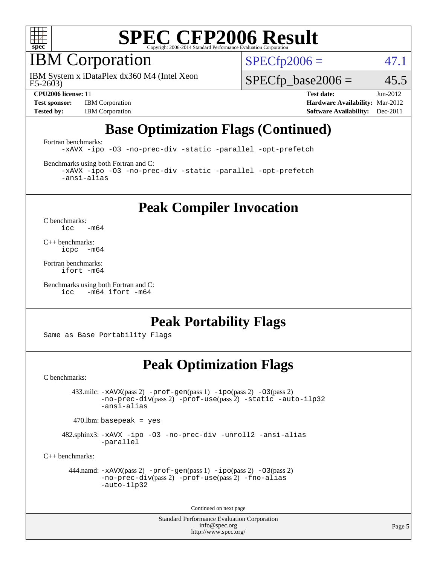

### IBM Corporation

 $E5-2603$ IBM System x iDataPlex dx360 M4 (Intel Xeon  $SPECTp2006 = 47.1$ 

 $SPECfp\_base2006 = 45.5$ 

**[Test sponsor:](http://www.spec.org/auto/cpu2006/Docs/result-fields.html#Testsponsor)** IBM Corporation **[Hardware Availability:](http://www.spec.org/auto/cpu2006/Docs/result-fields.html#HardwareAvailability)** Mar-2012

**[CPU2006 license:](http://www.spec.org/auto/cpu2006/Docs/result-fields.html#CPU2006license)** 11 **[Test date:](http://www.spec.org/auto/cpu2006/Docs/result-fields.html#Testdate)** Jun-2012 **[Tested by:](http://www.spec.org/auto/cpu2006/Docs/result-fields.html#Testedby)** IBM Corporation **[Software Availability:](http://www.spec.org/auto/cpu2006/Docs/result-fields.html#SoftwareAvailability)** Dec-2011

### **[Base Optimization Flags \(Continued\)](http://www.spec.org/auto/cpu2006/Docs/result-fields.html#BaseOptimizationFlags)**

[Fortran benchmarks](http://www.spec.org/auto/cpu2006/Docs/result-fields.html#Fortranbenchmarks):

[-xAVX](http://www.spec.org/cpu2006/results/res2012q3/cpu2006-20120628-23197.flags.html#user_FCbase_f-xAVX) [-ipo](http://www.spec.org/cpu2006/results/res2012q3/cpu2006-20120628-23197.flags.html#user_FCbase_f-ipo) [-O3](http://www.spec.org/cpu2006/results/res2012q3/cpu2006-20120628-23197.flags.html#user_FCbase_f-O3) [-no-prec-div](http://www.spec.org/cpu2006/results/res2012q3/cpu2006-20120628-23197.flags.html#user_FCbase_f-no-prec-div) [-static](http://www.spec.org/cpu2006/results/res2012q3/cpu2006-20120628-23197.flags.html#user_FCbase_f-static) [-parallel](http://www.spec.org/cpu2006/results/res2012q3/cpu2006-20120628-23197.flags.html#user_FCbase_f-parallel) [-opt-prefetch](http://www.spec.org/cpu2006/results/res2012q3/cpu2006-20120628-23197.flags.html#user_FCbase_f-opt-prefetch)

[Benchmarks using both Fortran and C](http://www.spec.org/auto/cpu2006/Docs/result-fields.html#BenchmarksusingbothFortranandC):

[-xAVX](http://www.spec.org/cpu2006/results/res2012q3/cpu2006-20120628-23197.flags.html#user_CC_FCbase_f-xAVX) [-ipo](http://www.spec.org/cpu2006/results/res2012q3/cpu2006-20120628-23197.flags.html#user_CC_FCbase_f-ipo) [-O3](http://www.spec.org/cpu2006/results/res2012q3/cpu2006-20120628-23197.flags.html#user_CC_FCbase_f-O3) [-no-prec-div](http://www.spec.org/cpu2006/results/res2012q3/cpu2006-20120628-23197.flags.html#user_CC_FCbase_f-no-prec-div) [-static](http://www.spec.org/cpu2006/results/res2012q3/cpu2006-20120628-23197.flags.html#user_CC_FCbase_f-static) [-parallel](http://www.spec.org/cpu2006/results/res2012q3/cpu2006-20120628-23197.flags.html#user_CC_FCbase_f-parallel) [-opt-prefetch](http://www.spec.org/cpu2006/results/res2012q3/cpu2006-20120628-23197.flags.html#user_CC_FCbase_f-opt-prefetch) [-ansi-alias](http://www.spec.org/cpu2006/results/res2012q3/cpu2006-20120628-23197.flags.html#user_CC_FCbase_f-ansi-alias)

### **[Peak Compiler Invocation](http://www.spec.org/auto/cpu2006/Docs/result-fields.html#PeakCompilerInvocation)**

[C benchmarks](http://www.spec.org/auto/cpu2006/Docs/result-fields.html#Cbenchmarks):  $\text{icc}$  -m64

[C++ benchmarks:](http://www.spec.org/auto/cpu2006/Docs/result-fields.html#CXXbenchmarks) [icpc -m64](http://www.spec.org/cpu2006/results/res2012q3/cpu2006-20120628-23197.flags.html#user_CXXpeak_intel_icpc_64bit_bedb90c1146cab66620883ef4f41a67e)

[Fortran benchmarks](http://www.spec.org/auto/cpu2006/Docs/result-fields.html#Fortranbenchmarks): [ifort -m64](http://www.spec.org/cpu2006/results/res2012q3/cpu2006-20120628-23197.flags.html#user_FCpeak_intel_ifort_64bit_ee9d0fb25645d0210d97eb0527dcc06e)

[Benchmarks using both Fortran and C](http://www.spec.org/auto/cpu2006/Docs/result-fields.html#BenchmarksusingbothFortranandC): [icc -m64](http://www.spec.org/cpu2006/results/res2012q3/cpu2006-20120628-23197.flags.html#user_CC_FCpeak_intel_icc_64bit_0b7121f5ab7cfabee23d88897260401c) [ifort -m64](http://www.spec.org/cpu2006/results/res2012q3/cpu2006-20120628-23197.flags.html#user_CC_FCpeak_intel_ifort_64bit_ee9d0fb25645d0210d97eb0527dcc06e)

### **[Peak Portability Flags](http://www.spec.org/auto/cpu2006/Docs/result-fields.html#PeakPortabilityFlags)**

Same as Base Portability Flags

### **[Peak Optimization Flags](http://www.spec.org/auto/cpu2006/Docs/result-fields.html#PeakOptimizationFlags)**

[C benchmarks](http://www.spec.org/auto/cpu2006/Docs/result-fields.html#Cbenchmarks):

 433.milc: [-xAVX](http://www.spec.org/cpu2006/results/res2012q3/cpu2006-20120628-23197.flags.html#user_peakPASS2_CFLAGSPASS2_LDFLAGS433_milc_f-xAVX)(pass 2) [-prof-gen](http://www.spec.org/cpu2006/results/res2012q3/cpu2006-20120628-23197.flags.html#user_peakPASS1_CFLAGSPASS1_LDFLAGS433_milc_prof_gen_e43856698f6ca7b7e442dfd80e94a8fc)(pass 1) [-ipo](http://www.spec.org/cpu2006/results/res2012q3/cpu2006-20120628-23197.flags.html#user_peakPASS2_CFLAGSPASS2_LDFLAGS433_milc_f-ipo)(pass 2) [-O3](http://www.spec.org/cpu2006/results/res2012q3/cpu2006-20120628-23197.flags.html#user_peakPASS2_CFLAGSPASS2_LDFLAGS433_milc_f-O3)(pass 2) [-no-prec-div](http://www.spec.org/cpu2006/results/res2012q3/cpu2006-20120628-23197.flags.html#user_peakPASS2_CFLAGSPASS2_LDFLAGS433_milc_f-no-prec-div)(pass 2) [-prof-use](http://www.spec.org/cpu2006/results/res2012q3/cpu2006-20120628-23197.flags.html#user_peakPASS2_CFLAGSPASS2_LDFLAGS433_milc_prof_use_bccf7792157ff70d64e32fe3e1250b55)(pass 2) [-static](http://www.spec.org/cpu2006/results/res2012q3/cpu2006-20120628-23197.flags.html#user_peakOPTIMIZE433_milc_f-static) [-auto-ilp32](http://www.spec.org/cpu2006/results/res2012q3/cpu2006-20120628-23197.flags.html#user_peakCOPTIMIZE433_milc_f-auto-ilp32) [-ansi-alias](http://www.spec.org/cpu2006/results/res2012q3/cpu2006-20120628-23197.flags.html#user_peakCOPTIMIZE433_milc_f-ansi-alias)

 $470.$ lbm: basepeak = yes

 482.sphinx3: [-xAVX](http://www.spec.org/cpu2006/results/res2012q3/cpu2006-20120628-23197.flags.html#user_peakOPTIMIZE482_sphinx3_f-xAVX) [-ipo](http://www.spec.org/cpu2006/results/res2012q3/cpu2006-20120628-23197.flags.html#user_peakOPTIMIZE482_sphinx3_f-ipo) [-O3](http://www.spec.org/cpu2006/results/res2012q3/cpu2006-20120628-23197.flags.html#user_peakOPTIMIZE482_sphinx3_f-O3) [-no-prec-div](http://www.spec.org/cpu2006/results/res2012q3/cpu2006-20120628-23197.flags.html#user_peakOPTIMIZE482_sphinx3_f-no-prec-div) [-unroll2](http://www.spec.org/cpu2006/results/res2012q3/cpu2006-20120628-23197.flags.html#user_peakCOPTIMIZE482_sphinx3_f-unroll_784dae83bebfb236979b41d2422d7ec2) [-ansi-alias](http://www.spec.org/cpu2006/results/res2012q3/cpu2006-20120628-23197.flags.html#user_peakCOPTIMIZE482_sphinx3_f-ansi-alias) [-parallel](http://www.spec.org/cpu2006/results/res2012q3/cpu2006-20120628-23197.flags.html#user_peakCOPTIMIZE482_sphinx3_f-parallel)

[C++ benchmarks:](http://www.spec.org/auto/cpu2006/Docs/result-fields.html#CXXbenchmarks)

```
 444.namd: -xAVX(pass 2) -prof-gen(pass 1) -ipo(pass 2) -O3(pass 2)
         -no-prec-div(pass 2) -prof-use(pass 2) -fno-alias
         -auto-ilp32
```
Continued on next page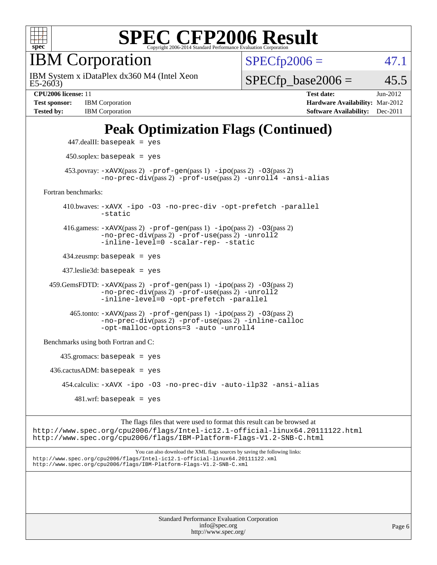

IBM Corporation

 $E5-2603$ IBM System x iDataPlex dx360 M4 (Intel Xeon  $SPECfp2006 = 47.1$  $SPECfp2006 = 47.1$ 

 $SPECTp\_base2006 = 45.5$ 

**[Test sponsor:](http://www.spec.org/auto/cpu2006/Docs/result-fields.html#Testsponsor)** IBM Corporation **[Hardware Availability:](http://www.spec.org/auto/cpu2006/Docs/result-fields.html#HardwareAvailability)** Mar-2012

**[CPU2006 license:](http://www.spec.org/auto/cpu2006/Docs/result-fields.html#CPU2006license)** 11 **[Test date:](http://www.spec.org/auto/cpu2006/Docs/result-fields.html#Testdate)** Jun-2012 **[Tested by:](http://www.spec.org/auto/cpu2006/Docs/result-fields.html#Testedby)** IBM Corporation **[Software Availability:](http://www.spec.org/auto/cpu2006/Docs/result-fields.html#SoftwareAvailability)** Dec-2011

### **[Peak Optimization Flags \(Continued\)](http://www.spec.org/auto/cpu2006/Docs/result-fields.html#PeakOptimizationFlags)**

```
 447.dealII: basepeak = yes
       450.soplex: basepeak = yes
     453.povray: -xAVX(pass 2) -prof-gen(pass 1) -ipo(pass 2) -03(pass 2)
               -no-prec-div(pass 2) -prof-use(pass 2) -unroll4 -ansi-alias
Fortran benchmarks: 
      410.bwaves: -xAVX -ipo -O3 -no-prec-div -opt-prefetch -parallel
               -static
      416.gamess: -xAVX(pass 2) -prof-gen(pass 1) -ipo(pass 2) -O3(pass 2)
               -no-prec-div(pass 2) -prof-use(pass 2) -unroll2
               -inline-level=0 -scalar-rep- -static
      434.zeusmp: basepeak = yes
      437.leslie3d: basepeak = yes
  459.GemsFDTD: -xAVX(pass 2) -prof-gen(pass 1) -ipo(pass 2) -O3(pass 2)
               -no-prec-div(pass 2) -prof-use(pass 2) -unroll2
               -inline-level=0 -opt-prefetch -parallel
       465.tonto: -xAVX(pass 2) -prof-gen(pass 1) -po(pass 2) -03(pass 2)
               -no-prec-div(pass 2) -prof-use(pass 2) -inline-calloc
               -opt-malloc-options=3-auto-unroll4
Benchmarks using both Fortran and C: 
     435.gromacs: basepeak = yes
 436.cactusADM:basepeak = yes 454.calculix: -xAVX -ipo -O3 -no-prec-div -auto-ilp32 -ansi-alias
        481 \text{.m}: basepeak = yes
```
The flags files that were used to format this result can be browsed at <http://www.spec.org/cpu2006/flags/Intel-ic12.1-official-linux64.20111122.html> <http://www.spec.org/cpu2006/flags/IBM-Platform-Flags-V1.2-SNB-C.html>

You can also download the XML flags sources by saving the following links: <http://www.spec.org/cpu2006/flags/Intel-ic12.1-official-linux64.20111122.xml> <http://www.spec.org/cpu2006/flags/IBM-Platform-Flags-V1.2-SNB-C.xml>